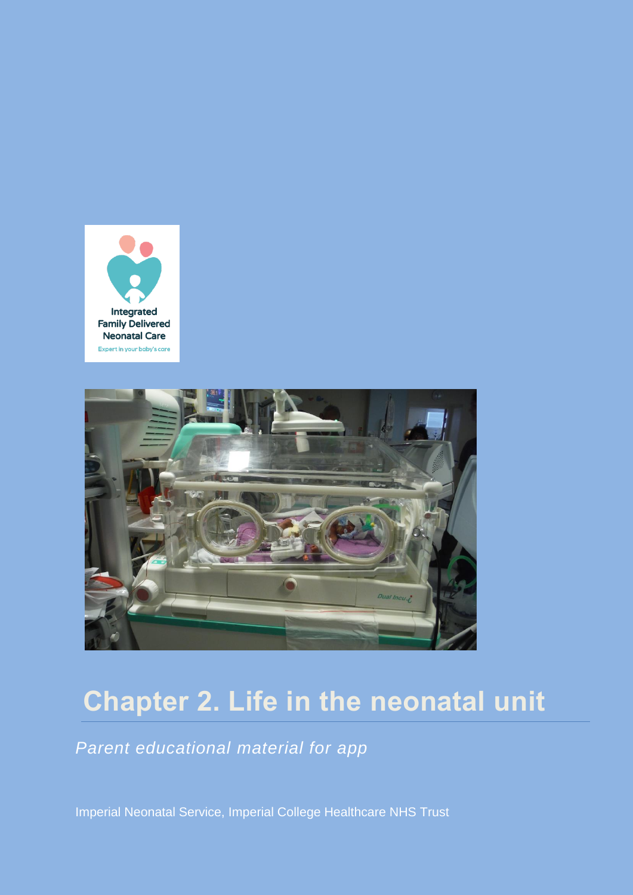



# **Chapter 2. Life in the neonatal unit**

*Parent educational material for app*

Imperial Neonatal Service, Imperial College Healthcare NHS Trust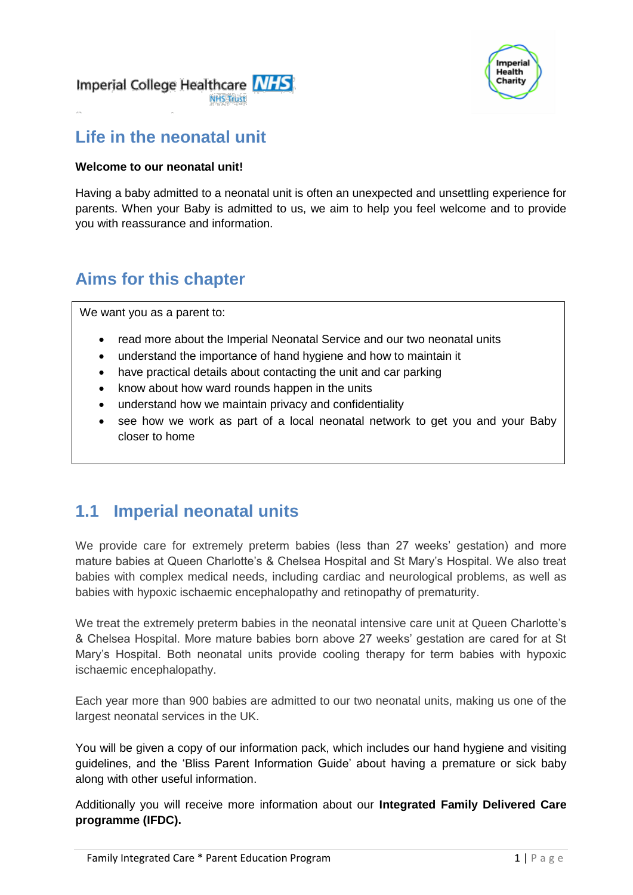



### **Life in the neonatal unit**

#### **Welcome to our neonatal unit!**

Having a baby admitted to a neonatal unit is often an unexpected and unsettling experience for parents. When your Baby is admitted to us, we aim to help you feel welcome and to provide you with reassurance and information.

### **Aims for this chapter**

We want you as a parent to:

- read more about the Imperial Neonatal Service and our two neonatal units
- understand the importance of hand hygiene and how to maintain it
- have practical details about contacting the unit and car parking
- know about how ward rounds happen in the units
- understand how we maintain privacy and confidentiality
- see how we work as part of a local neonatal network to get you and your Baby closer to home

### **1.1 Imperial neonatal units**

We provide care for extremely preterm babies (less than 27 weeks' gestation) and more mature babies at Queen Charlotte's & Chelsea Hospital and St Mary's Hospital. We also treat babies with complex medical needs, including cardiac and neurological problems, as well as babies with hypoxic ischaemic encephalopathy and retinopathy of prematurity.

We treat the extremely preterm babies in the neonatal intensive care unit at Queen Charlotte's & Chelsea Hospital. More mature babies born above 27 weeks' gestation are cared for at St Mary's Hospital. Both neonatal units provide cooling therapy for term babies with hypoxic ischaemic encephalopathy.

Each year more than 900 babies are admitted to our two neonatal units, making us one of the largest neonatal services in the UK.

You will be given a copy of our information pack, which includes our hand hygiene and visiting guidelines, and the 'Bliss Parent Information Guide' about having a premature or sick baby along with other useful information.

Additionally you will receive more information about our **Integrated Family Delivered Care programme (IFDC).**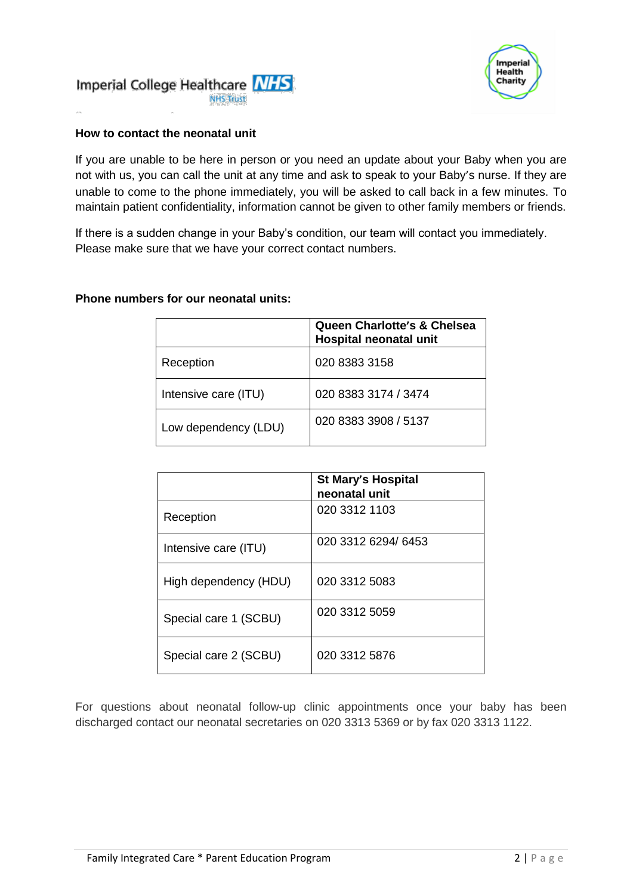



#### **How to contact the neonatal unit**

If you are unable to be here in person or you need an update about your Baby when you are not with us, you can call the unit at any time and ask to speak to your Baby's nurse. If they are unable to come to the phone immediately, you will be asked to call back in a few minutes. To maintain patient confidentiality, information cannot be given to other family members or friends.

If there is a sudden change in your Baby's condition, our team will contact you immediately. Please make sure that we have your correct contact numbers.

#### **Phone numbers for our neonatal units:**

|                      | Queen Charlotte's & Chelsea<br>Hospital neonatal unit |
|----------------------|-------------------------------------------------------|
| Reception            | 020 8383 3158                                         |
| Intensive care (ITU) | 020 8383 3174 / 3474                                  |
| Low dependency (LDU) | 020 8383 3908 / 5137                                  |

|                       | <b>St Mary's Hospital</b><br>neonatal unit |
|-----------------------|--------------------------------------------|
| Reception             | 020 3312 1103                              |
| Intensive care (ITU)  | 020 3312 6294/ 6453                        |
| High dependency (HDU) | 020 3312 5083                              |
| Special care 1 (SCBU) | 020 3312 5059                              |
| Special care 2 (SCBU) | 020 3312 5876                              |

For questions about neonatal follow-up clinic appointments once your baby has been discharged contact our neonatal secretaries on 020 3313 5369 or by fax 020 3313 1122.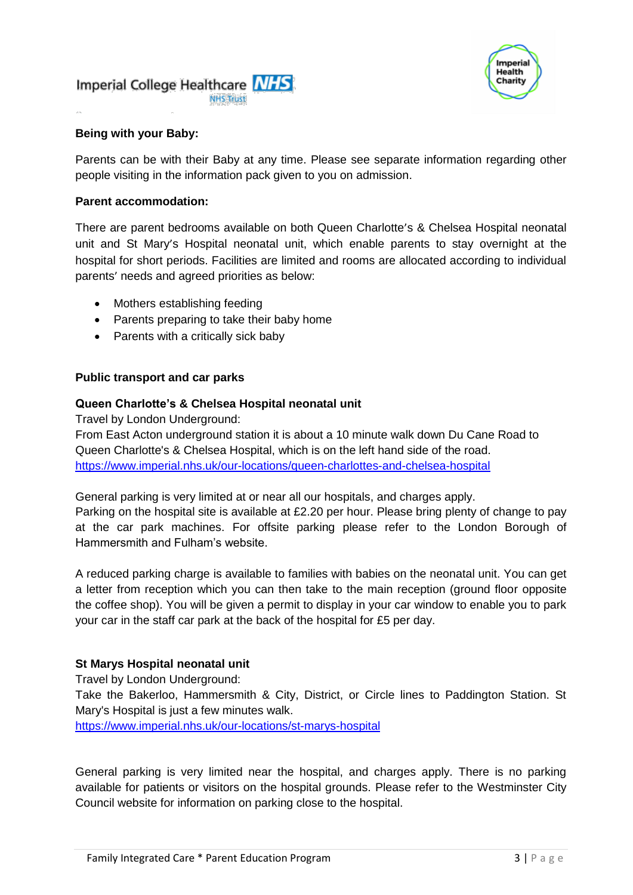



#### **Being with your Baby:**

Parents can be with their Baby at any time. Please see separate information regarding other people visiting in the information pack given to you on admission.

#### **Parent accommodation:**

There are parent bedrooms available on both Queen Charlotte's & Chelsea Hospital neonatal unit and St Mary's Hospital neonatal unit, which enable parents to stay overnight at the hospital for short periods. Facilities are limited and rooms are allocated according to individual parents' needs and agreed priorities as below:

- Mothers establishing feeding
- Parents preparing to take their baby home
- Parents with a critically sick baby

#### **Public transport and car parks**

#### **Queen Charlotte's & Chelsea Hospital neonatal unit**

Travel by London Underground:

From East Acton underground station it is about a 10 minute walk down Du Cane Road to Queen Charlotte's & Chelsea Hospital, which is on the left hand side of the road. <https://www.imperial.nhs.uk/our-locations/queen-charlottes-and-chelsea-hospital>

General parking is very limited at or near all our hospitals, and charges apply. Parking on the hospital site is available at £2.20 per hour. Please bring plenty of change to pay at the car park machines. For offsite parking please refer to the London Borough of Hammersmith and Fulham's website.

A reduced parking charge is available to families with babies on the neonatal unit. You can get a letter from reception which you can then take to the main reception (ground floor opposite the coffee shop). You will be given a permit to display in your car window to enable you to park your car in the staff car park at the back of the hospital for £5 per day.

#### **St Marys Hospital neonatal unit**

Travel by London Underground: Take the Bakerloo, Hammersmith & City, District, or Circle lines to Paddington Station. St Mary's Hospital is just a few minutes walk.

<https://www.imperial.nhs.uk/our-locations/st-marys-hospital>

General parking is very limited near the hospital, and charges apply. There is no parking available for patients or visitors on the hospital grounds. Please refer to the Westminster City Council website for information on parking close to the hospital.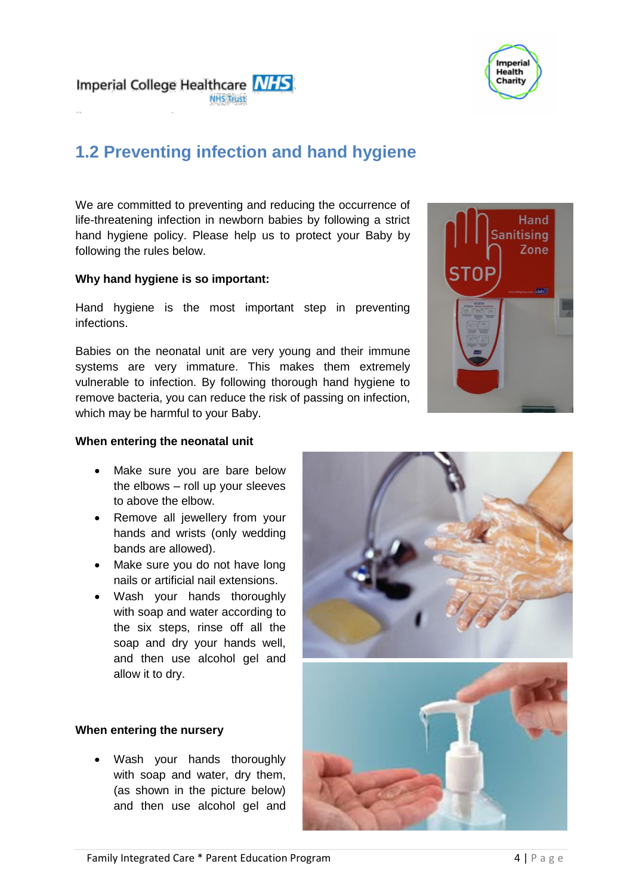



# **1.2 Preventing infection and hand hygiene**

We are committed to preventing and reducing the occurrence of life-threatening infection in newborn babies by following a strict hand hygiene policy. Please help us to protect your Baby by following the rules below.

#### **Why hand hygiene is so important:**

Hand hygiene is the most important step in preventing infections.

Babies on the neonatal unit are very young and their immune systems are very immature. This makes them extremely vulnerable to infection. By following thorough hand hygiene to remove bacteria, you can reduce the risk of passing on infection, which may be harmful to your Baby.



#### **When entering the neonatal unit**

- Make sure you are bare below the elbows – roll up your sleeves to above the elbow.
- Remove all jewellery from your hands and wrists (only wedding bands are allowed).
- Make sure you do not have long nails or artificial nail extensions.
- Wash your hands thoroughly with soap and water according to the six steps, rinse off all the soap and dry your hands well, and then use alcohol gel and allow it to dry.

#### **When entering the nursery**

• Wash your hands thoroughly with soap and water, dry them, (as shown in the picture below) and then use alcohol gel and

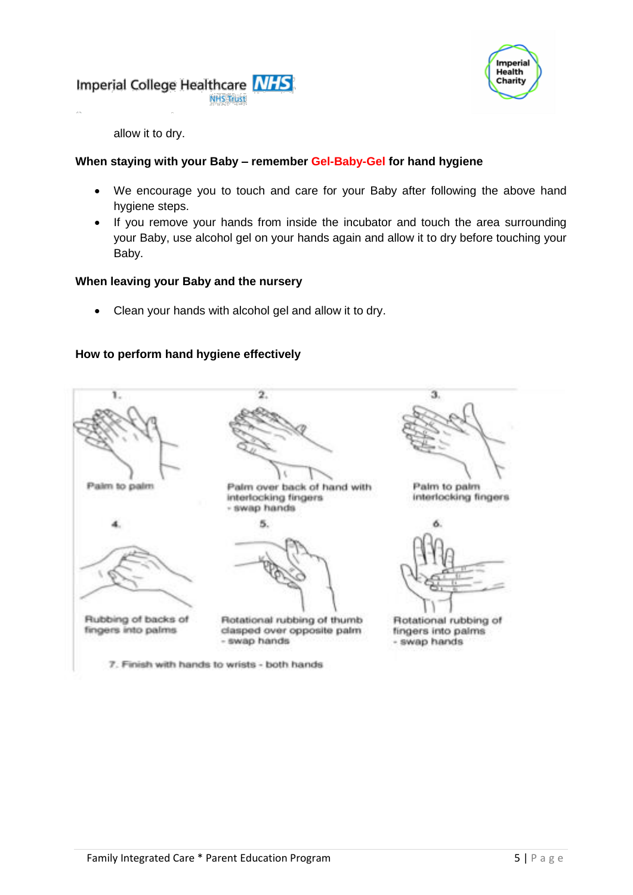



allow it to dry.

#### **When staying with your Baby – remember Gel-Baby-Gel for hand hygiene**

- We encourage you to touch and care for your Baby after following the above hand hygiene steps.
- If you remove your hands from inside the incubator and touch the area surrounding your Baby, use alcohol gel on your hands again and allow it to dry before touching your Baby.

#### **When leaving your Baby and the nursery**

Clean your hands with alcohol gel and allow it to dry.

#### **How to perform hand hygiene effectively**

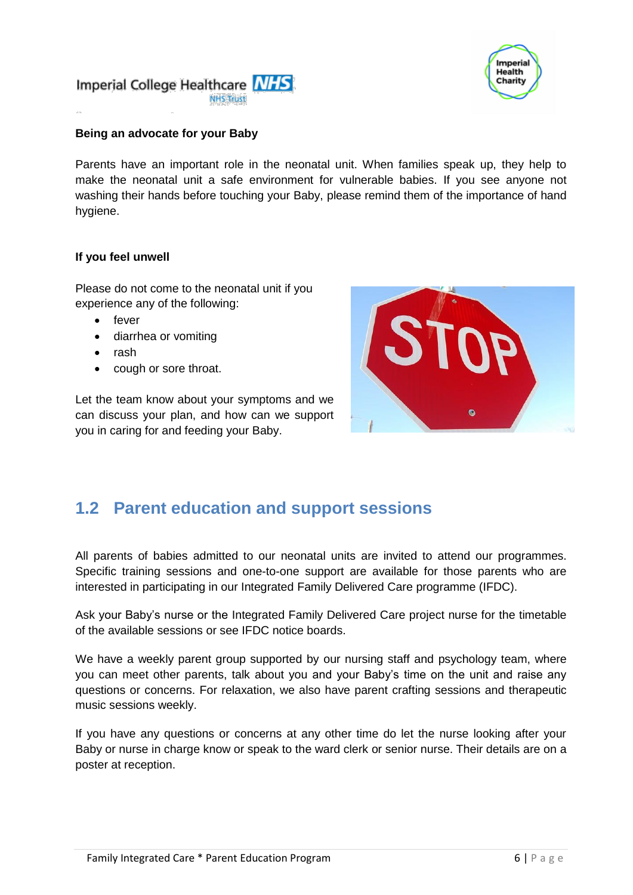



#### **Being an advocate for your Baby**

Parents have an important role in the neonatal unit. When families speak up, they help to make the neonatal unit a safe environment for vulnerable babies. If you see anyone not washing their hands before touching your Baby, please remind them of the importance of hand hygiene.

#### **If you feel unwell**

Please do not come to the neonatal unit if you experience any of the following:

- $\bullet$  fever
- diarrhea or vomiting
- rash
- cough or sore throat.

Let the team know about your symptoms and we can discuss your plan, and how can we support you in caring for and feeding your Baby.



### **1.2 Parent education and support sessions**

All parents of babies admitted to our neonatal units are invited to attend our programmes. Specific training sessions and one-to-one support are available for those parents who are interested in participating in our Integrated Family Delivered Care programme (IFDC).

Ask your Baby's nurse or the Integrated Family Delivered Care project nurse for the timetable of the available sessions or see IFDC notice boards.

We have a weekly parent group supported by our nursing staff and psychology team, where you can meet other parents, talk about you and your Baby's time on the unit and raise any questions or concerns. For relaxation, we also have parent crafting sessions and therapeutic music sessions weekly.

If you have any questions or concerns at any other time do let the nurse looking after your Baby or nurse in charge know or speak to the ward clerk or senior nurse. Their details are on a poster at reception.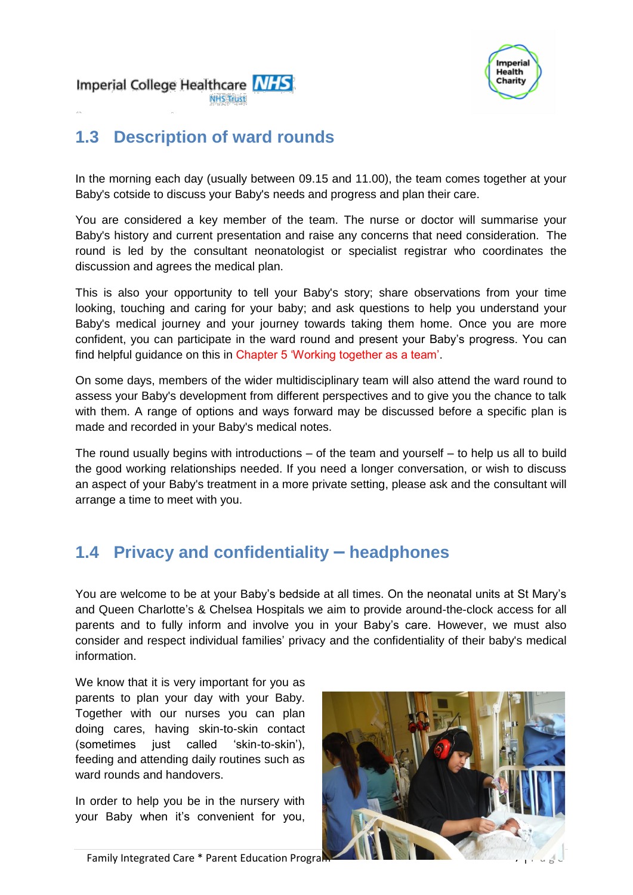



# **1.3 Description of ward rounds**

In the morning each day (usually between 09.15 and 11.00), the team comes together at your Baby's cotside to discuss your Baby's needs and progress and plan their care.

You are considered a key member of the team. The nurse or doctor will summarise your Baby's history and current presentation and raise any concerns that need consideration. The round is led by the consultant neonatologist or specialist registrar who coordinates the discussion and agrees the medical plan.

This is also your opportunity to tell your Baby's story; share observations from your time looking, touching and caring for your baby; and ask questions to help you understand your Baby's medical journey and your journey towards taking them home. Once you are more confident, you can participate in the ward round and present your Baby's progress. You can find helpful guidance on this in Chapter 5 'Working together as a team'.

On some days, members of the wider multidisciplinary team will also attend the ward round to assess your Baby's development from different perspectives and to give you the chance to talk with them. A range of options and ways forward may be discussed before a specific plan is made and recorded in your Baby's medical notes.

The round usually begins with introductions – of the team and yourself – to help us all to build the good working relationships needed. If you need a longer conversation, or wish to discuss an aspect of your Baby's treatment in a more private setting, please ask and the consultant will arrange a time to meet with you.

# **1.4 Privacy and confidentiality – headphones**

You are welcome to be at your Baby's bedside at all times. On the neonatal units at St Mary's and Queen Charlotte's & Chelsea Hospitals we aim to provide around-the-clock access for all parents and to fully inform and involve you in your Baby's care. However, we must also consider and respect individual families' privacy and the confidentiality of their baby's medical information.

We know that it is very important for you as parents to plan your day with your Baby. Together with our nurses you can plan doing cares, having skin-to-skin contact (sometimes just called 'skin-to-skin'), feeding and attending daily routines such as ward rounds and handovers.

In order to help you be in the nursery with your Baby when it's convenient for you,

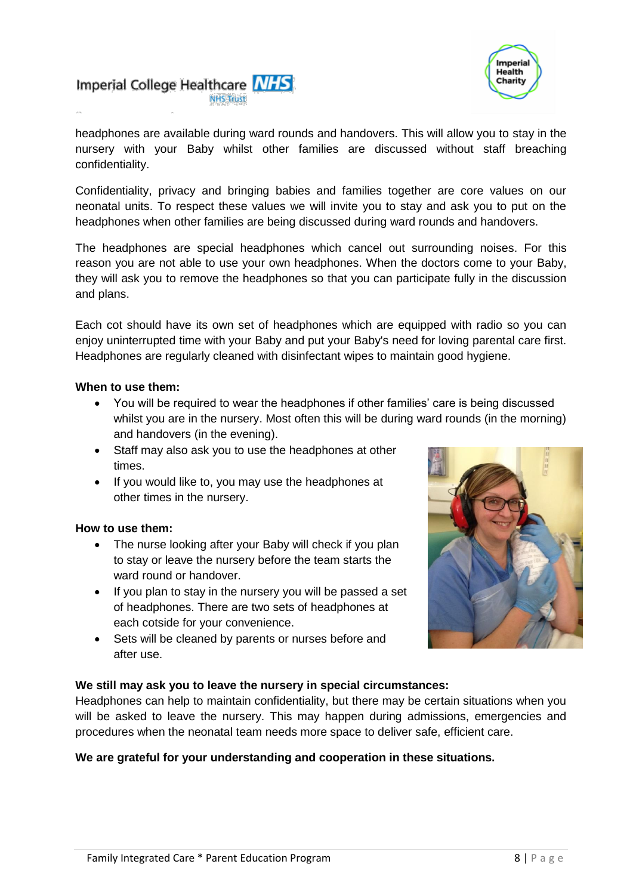



headphones are available during ward rounds and handovers. This will allow you to stay in the nursery with your Baby whilst other families are discussed without staff breaching confidentiality.

Confidentiality, privacy and bringing babies and families together are core values on our neonatal units. To respect these values we will invite you to stay and ask you to put on the headphones when other families are being discussed during ward rounds and handovers.

The headphones are special headphones which cancel out surrounding noises. For this reason you are not able to use your own headphones. When the doctors come to your Baby, they will ask you to remove the headphones so that you can participate fully in the discussion and plans.

Each cot should have its own set of headphones which are equipped with radio so you can enjoy uninterrupted time with your Baby and put your Baby's need for loving parental care first. Headphones are regularly cleaned with disinfectant wipes to maintain good hygiene.

#### **When to use them:**

- You will be required to wear the headphones if other families' care is being discussed whilst you are in the nursery. Most often this will be during ward rounds (in the morning) and handovers (in the evening).
- Staff may also ask you to use the headphones at other times.
- If you would like to, you may use the headphones at other times in the nursery.

#### **How to use them:**

- The nurse looking after your Baby will check if you plan to stay or leave the nursery before the team starts the ward round or handover.
- If you plan to stay in the nursery you will be passed a set of headphones. There are two sets of headphones at each cotside for your convenience.
- Sets will be cleaned by parents or nurses before and after use.



#### **We still may ask you to leave the nursery in special circumstances:**

Headphones can help to maintain confidentiality, but there may be certain situations when you will be asked to leave the nursery. This may happen during admissions, emergencies and procedures when the neonatal team needs more space to deliver safe, efficient care.

#### **We are grateful for your understanding and cooperation in these situations.**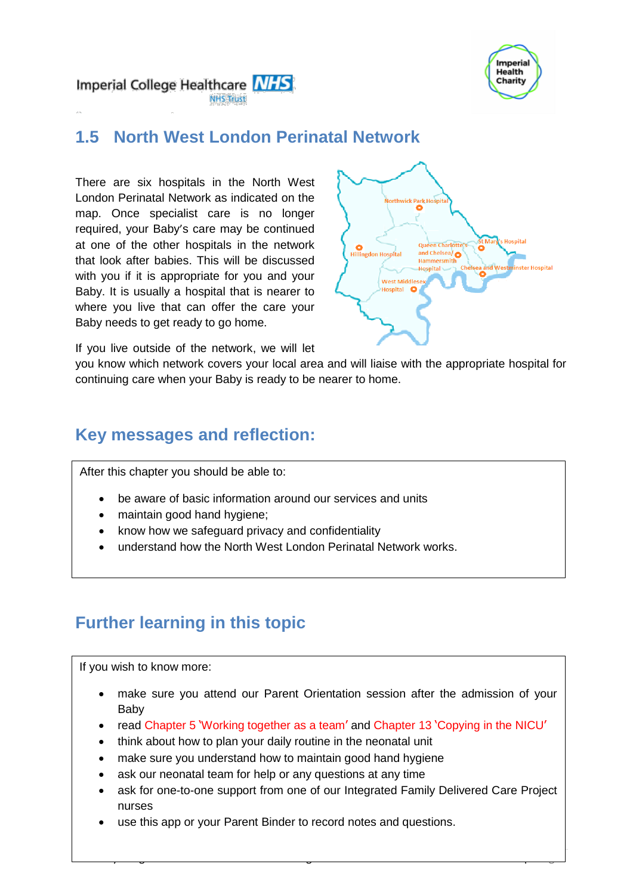

Imperial College Healthcare NHS **NHS Trust** 

# **1.5 North West London Perinatal Network**

There are six hospitals in the North West London Perinatal Network as indicated on the map. Once specialist care is no longer required, your Baby's care may be continued at one of the other hospitals in the network that look after babies. This will be discussed with you if it is appropriate for you and your Baby. It is usually a hospital that is nearer to where you live that can offer the care your Baby needs to get ready to go home.



If you live outside of the network, we will let

you know which network covers your local area and will liaise with the appropriate hospital for continuing care when your Baby is ready to be nearer to home.

### **Key messages and reflection:**

After this chapter you should be able to:

- be aware of basic information around our services and units
- maintain good hand hygiene;
- know how we safeguard privacy and confidentiality
- understand how the North West London Perinatal Network works.

### **Further learning in this topic**

If you wish to know more:

- make sure you attend our Parent Orientation session after the admission of your Baby
- read Chapter 5 'Working together as a team' and Chapter 13 'Copying in the NICU'
- think about how to plan your daily routine in the neonatal unit
- make sure you understand how to maintain good hand hygiene
- ask our neonatal team for help or any questions at any time
- ask for one-to-one support from one of our Integrated Family Delivered Care Project nurses

Family Integrated Care  $\frac{1}{2}$  and  $\frac{1}{2}$  and  $\frac{1}{2}$  are not program 9  $\frac{1}{2}$  and  $\frac{1}{2}$  and  $\frac{1}{2}$  and  $\frac{1}{2}$  and  $\frac{1}{2}$  and  $\frac{1}{2}$  and  $\frac{1}{2}$  and  $\frac{1}{2}$  and  $\frac{1}{2}$  and  $\frac{1}{2}$  and  $\$ 

use this app or your Parent Binder to record notes and questions.